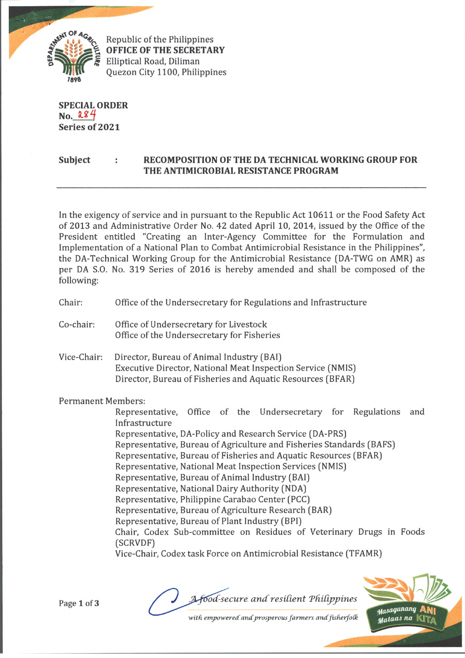

Republic of the Philippines **OFFICE OF THE SECRETARY** Elliptical Road, Diliman Quezon City 1100, Philippines

**SPECIAL ORDER No. Series of 2021**

## **Subject : RECOMPOSITION OF THE DA TECHNICAL WORKING GROUP FOR THE ANTIMICROBIAL RESISTANCE PROGRAM**

In the exigency of service and in pursuant to the Republic Act 10611 or the Food Safety Act of 2013 and Administrative Order No. 42 dated April 10, 2014, issued by the Office of the President entitled "Creating an Inter-Agency Committee for the Formulation and Implementation of a National Plan to Combat Antimicrobial Resistance in the Philippines", the DA-Technical Working Group for the Antimicrobial Resistance (DA-TWG on AMR) as per DA S.O. No. 319 Series of 2016 is hereby amended and shall be composed of the following:

- Chair: Office of the Undersecretary for Regulations and Infrastructure
- Co-chair: Office of Undersecretary for Livestock Office of the Undersecretary for Fisheries
- Vice-Chair: Director, Bureau of Animal Industry (BAI) Executive Director, National Meat Inspection Service (NMIS) Director, Bureau of Fisheries and Aquatic Resources (BFAR)

Permanent Members:

Representative, Office of the Undersecretary for Regulations and Infrastructure Representative, DA-Policy and Research Service (DA-PRS)

- 
- Representative, Bureau of Agriculture and Fisheries Standards (BAFS)
- Representative, Bureau of Fisheries and Aquatic Resources (BFAR)
- Representative, National Meat Inspection Services (NMIS)
- Representative, Bureau of Animal Industry (BAI)
- Representative, National Dairy Authority (NDA)
	- Representative, Philippine Carabao Center (PCC)
- Representative, Bureau of Agriculture Research (BAR)
- Representative, Bureau of Plant Industry (BPI)
- Chair, Codex Sub-committee on Residues of Veterinary Drugs in Foods (SCRVDF)

Vice-Chair, Codex task Force on Antimicrobial Resistance (TFAMR)

Page 1 of 3

food-secure and resilient Philippines

Masaganang uataas na |

with empowered and prosperous farmers and fisherfolk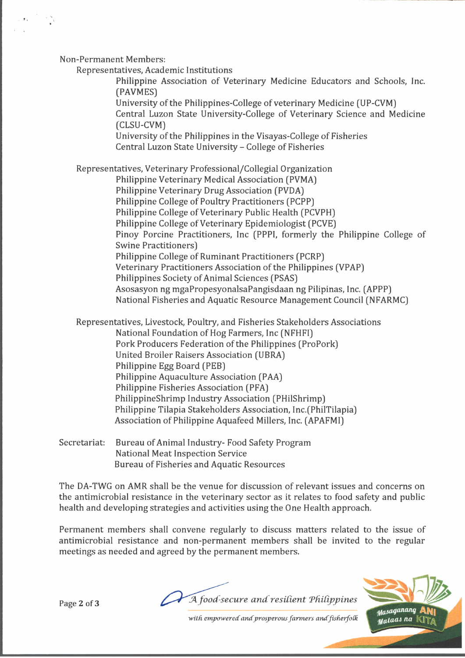Non-Permanent Members:

Representatives, Academic Institutions

Philippine Association of Veterinary Medicine Educators and Schools, Inc. (PAVMES)

University of the Philippines-College of veterinary Medicine (UP-CVM) Central Luzon State University-College of Veterinary Science and Medicine

(CLSU-CVM)

University of the Philippines in the Visayas-College of Fisheries Central Luzon State University - College of Fisheries

Representatives, Veterinary Professional/Collegial Organization

Philippine Veterinary Medical Association (PVMA)

Philippine Veterinary Drug Association (PVDA)

Philippine College of Poultry Practitioners (PCPP)

Philippine College of Veterinary Public Health (PCVPH)

Philippine College of Veterinary Epidemiologist (PCVE)

Pinoy Porcine Practitioners, Inc (PPPI, formerly the Philippine College of Swine Practitioners)

Philippine College of Ruminant Practitioners (PCRP)

Veterinary Practitioners Association of the Philippines (VPAP)

Philippines Society of Animal Sciences (PSAS)

Asosasyon ng mgaPropesyonalsaPangisdaan ng Pilipinas, Inc. (APPP)

National Fisheries and Aquatic Resource Management Council (NFARMC)

Representatives, Livestock, Poultry, and Fisheries Stakeholders Associations

National Foundation of Hog Farmers, Inc (NFHFI)

Pork Producers Federation of the Philippines (ProPork)

United Broiler Raisers Association (UBRA)

Philippine Egg Board (PEB)

Philippine Aquaculture Association (PAA)

Philippine Fisheries Association (PFA)

PhilippineShrimp Industry Association (PHilShrimp)

Philippine Tilapia Stakeholders Association, Inc.(PhilTilapia)

Association of Philippine Aquafeed Millers, Inc. (APAFMI)

Secretariat: Bureau of Animal Industry- Food Safety Program National Meat Inspection Service Bureau of Fisheries and Aquatic Resources

The DA-TWG on AMR shall be the venue for discussion of relevant issues and concerns on the antimicrobial resistance in the veterinary sector as it relates to food safety and public health and developing strategies and activities using the One Health approach.

Permanent members shall convene regularly to discuss matters related to the issue of antimicrobial resistance and non-permanent members shall be invited to the regular meetings as needed and agreed by the permanent members.

Page 2 of 3 *JA food-secure and resilient Philippines* 



*with empowered andprosperous farmers andfisherfotk*